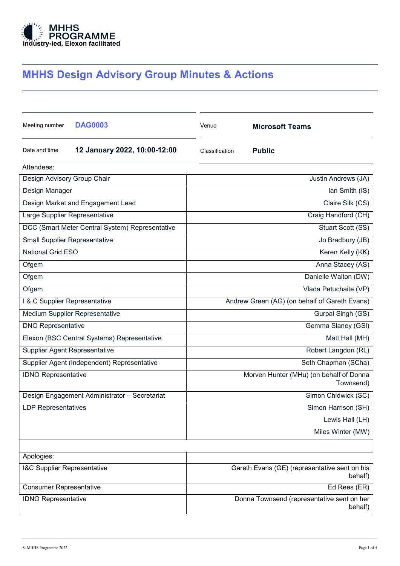

# MHHS Design Advisory Group Minutes & Actions

| Meeting number                                  | <b>DAG0003</b>                                | Venue                                                    | <b>Microsoft Teams</b> |  |
|-------------------------------------------------|-----------------------------------------------|----------------------------------------------------------|------------------------|--|
| Date and time                                   | 12 January 2022, 10:00-12:00                  | Classification                                           | <b>Public</b>          |  |
| Attendees:                                      |                                               |                                                          |                        |  |
| Design Advisory Group Chair                     |                                               |                                                          | Justin Andrews (JA)    |  |
| Design Manager                                  |                                               | Ian Smith (IS)                                           |                        |  |
|                                                 | Design Market and Engagement Lead             | Claire Silk (CS)                                         |                        |  |
| Large Supplier Representative                   |                                               | Craig Handford (CH)                                      |                        |  |
| DCC (Smart Meter Central System) Representative |                                               | Stuart Scott (SS)                                        |                        |  |
| <b>Small Supplier Representative</b>            |                                               | Jo Bradbury (JB)                                         |                        |  |
| <b>National Grid ESO</b>                        |                                               | Keren Kelly (KK)                                         |                        |  |
| Ofgem                                           |                                               | Anna Stacey (AS)                                         |                        |  |
| Ofgem                                           |                                               | Danielle Walton (DW)                                     |                        |  |
| Ofgem                                           |                                               | Vlada Petuchaite (VP)                                    |                        |  |
| I & C Supplier Representative                   |                                               | Andrew Green (AG) (on behalf of Gareth Evans)            |                        |  |
| Medium Supplier Representative                  |                                               | Gurpal Singh (GS)                                        |                        |  |
| <b>DNO Representative</b>                       |                                               | Gemma Slaney (GSI)                                       |                        |  |
| Elexon (BSC Central Systems) Representative     |                                               | Matt Hall (MH)                                           |                        |  |
| Supplier Agent Representative                   |                                               | Robert Langdon (RL)                                      |                        |  |
| Supplier Agent (Independent) Representative     |                                               | Seth Chapman (SCha)                                      |                        |  |
| <b>IDNO Representative</b>                      |                                               | Morven Hunter (MHu) (on behalf of Donna<br>Townsend)     |                        |  |
|                                                 | Design Engagement Administrator - Secretariat |                                                          | Simon Chidwick (SC)    |  |
| <b>LDP Representatives</b>                      |                                               | Simon Harrison (SH)                                      |                        |  |
|                                                 |                                               |                                                          | Lewis Hall (LH)        |  |
|                                                 |                                               |                                                          | Miles Winter (MW)      |  |
|                                                 |                                               |                                                          |                        |  |
| Apologies:                                      |                                               |                                                          |                        |  |
| I&C Supplier Representative                     |                                               | Gareth Evans (GE) (representative sent on his<br>behalf) |                        |  |
| <b>Consumer Representative</b>                  |                                               | Ed Rees (ER)                                             |                        |  |
| <b>IDNO Representative</b>                      |                                               | Donna Townsend (representative sent on her<br>behalf)    |                        |  |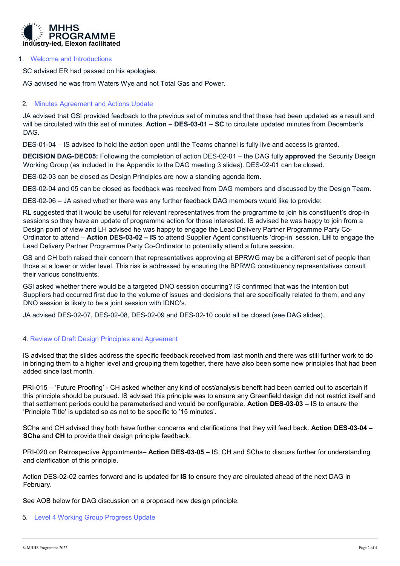

#### 1. Welcome and Introductions

SC advised ER had passed on his apologies.

AG advised he was from Waters Wye and not Total Gas and Power.

# 2. Minutes Agreement and Actions Update

JA advised that GSl provided feedback to the previous set of minutes and that these had been updated as a result and will be circulated with this set of minutes. Action – DES-03-01 – SC to circulate updated minutes from December's DAG.

DES-01-04 – IS advised to hold the action open until the Teams channel is fully live and access is granted.

DECISION DAG-DEC05: Following the completion of action DES-02-01 – the DAG fully approved the Security Design Working Group (as included in the Appendix to the DAG meeting 3 slides). DES-02-01 can be closed.

DES-02-03 can be closed as Design Principles are now a standing agenda item.

DES-02-04 and 05 can be closed as feedback was received from DAG members and discussed by the Design Team.

DES-02-06 – JA asked whether there was any further feedback DAG members would like to provide:

RL suggested that it would be useful for relevant representatives from the programme to join his constituent's drop-in sessions so they have an update of programme action for those interested. IS advised he was happy to join from a Design point of view and LH advised he was happy to engage the Lead Delivery Partner Programme Party Co-Ordinator to attend – Action DES-03-02 – IS to attend Supplier Agent constituents 'drop-in' session. LH to engage the Lead Delivery Partner Programme Party Co-Ordinator to potentially attend a future session.

GS and CH both raised their concern that representatives approving at BPRWG may be a different set of people than those at a lower or wider level. This risk is addressed by ensuring the BPRWG constituency representatives consult their various constituents.

GSl asked whether there would be a targeted DNO session occurring? IS confirmed that was the intention but Suppliers had occurred first due to the volume of issues and decisions that are specifically related to them, and any DNO session is likely to be a joint session with IDNO's.

JA advised DES-02-07, DES-02-08, DES-02-09 and DES-02-10 could all be closed (see DAG slides).

# 4. Review of Draft Design Principles and Agreement

IS advised that the slides address the specific feedback received from last month and there was still further work to do in bringing them to a higher level and grouping them together, there have also been some new principles that had been added since last month.

PRI-015 – 'Future Proofing' - CH asked whether any kind of cost/analysis benefit had been carried out to ascertain if this principle should be pursued. IS advised this principle was to ensure any Greenfield design did not restrict itself and that settlement periods could be parameterised and would be configurable. Action DES-03-03 – IS to ensure the 'Principle Title' is updated so as not to be specific to '15 minutes'.

SCha and CH advised they both have further concerns and clarifications that they will feed back. Action DES-03-04 – SCha and CH to provide their design principle feedback.

PRI-020 on Retrospective Appointments- Action DES-03-05 – IS, CH and SCha to discuss further for understanding and clarification of this principle.

Action DES-02-02 carries forward and is updated for IS to ensure they are circulated ahead of the next DAG in February.

See AOB below for DAG discussion on a proposed new design principle.

# 5. Level 4 Working Group Progress Update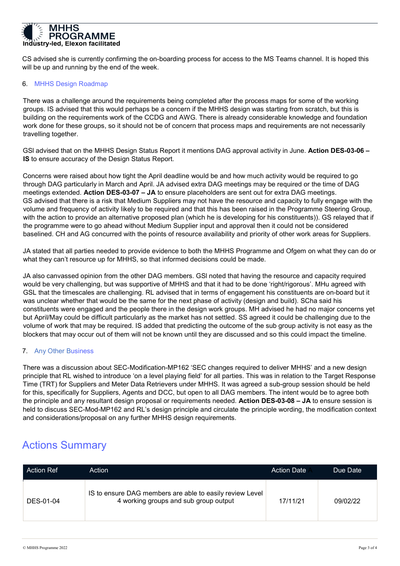

CS advised she is currently confirming the on-boarding process for access to the MS Teams channel. It is hoped this will be up and running by the end of the week.

### 6. MHHS Design Roadmap

There was a challenge around the requirements being completed after the process maps for some of the working groups. IS advised that this would perhaps be a concern if the MHHS design was starting from scratch, but this is building on the requirements work of the CCDG and AWG. There is already considerable knowledge and foundation work done for these groups, so it should not be of concern that process maps and requirements are not necessarily travelling together.

GSI advised that on the MHHS Design Status Report it mentions DAG approval activity in June. Action DES-03-06 -IS to ensure accuracy of the Design Status Report.

Concerns were raised about how tight the April deadline would be and how much activity would be required to go through DAG particularly in March and April. JA advised extra DAG meetings may be required or the time of DAG meetings extended. Action DES-03-07 – JA to ensure placeholders are sent out for extra DAG meetings. GS advised that there is a risk that Medium Suppliers may not have the resource and capacity to fully engage with the volume and frequency of activity likely to be required and that this has been raised in the Programme Steering Group, with the action to provide an alternative proposed plan (which he is developing for his constituents)). GS relayed that if the programme were to go ahead without Medium Supplier input and approval then it could not be considered baselined. CH and AG concurred with the points of resource availability and priority of other work areas for Suppliers.

JA stated that all parties needed to provide evidence to both the MHHS Programme and Ofgem on what they can do or what they can't resource up for MHHS, so that informed decisions could be made.

JA also canvassed opinion from the other DAG members. GSl noted that having the resource and capacity required would be very challenging, but was supportive of MHHS and that it had to be done 'right/rigorous'. MHu agreed with GSL that the timescales are challenging. RL advised that in terms of engagement his constituents are on-board but it was unclear whether that would be the same for the next phase of activity (design and build). SCha said his constituents were engaged and the people there in the design work groups. MH advised he had no major concerns yet but April/May could be difficult particularly as the market has not settled. SS agreed it could be challenging due to the volume of work that may be required. IS added that predicting the outcome of the sub group activity is not easy as the blockers that may occur out of them will not be known until they are discussed and so this could impact the timeline.

# 7. Any Other Business

There was a discussion about SEC-Modification-MP162 'SEC changes required to deliver MHHS' and a new design principle that RL wished to introduce 'on a level playing field' for all parties. This was in relation to the Target Response Time (TRT) for Suppliers and Meter Data Retrievers under MHHS. It was agreed a sub-group session should be held for this, specifically for Suppliers, Agents and DCC, but open to all DAG members. The intent would be to agree both the principle and any resultant design proposal or requirements needed. Action DES-03-08 – JA to ensure session is held to discuss SEC-Mod-MP162 and RL's design principle and circulate the principle wording, the modification context and considerations/proposal on any further MHHS design requirements.

# Actions Summary

| Action Ref | Action                                                                                            | <b>Action Date</b> | Due Date |
|------------|---------------------------------------------------------------------------------------------------|--------------------|----------|
| DES-01-04  | IS to ensure DAG members are able to easily review Level<br>4 working groups and sub group output | 17/11/21           | 09/02/22 |